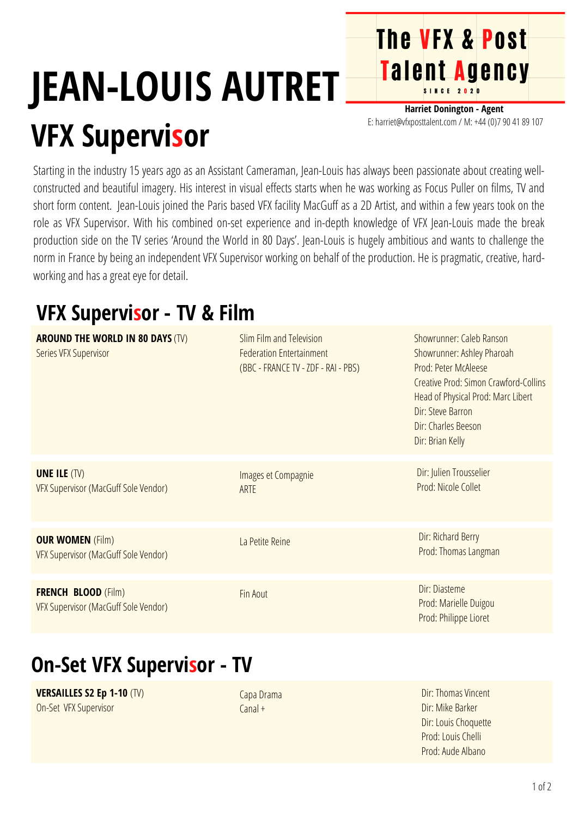# **JEAN-LOUIS AUTRET VFX Supervisor**

**Harriet Donington - Agent** E: harriet@vfxposttalent.com / M:+44(0)7904189107

**The VFX & Post** 

Talent Agency

Starting in the industry 15 years ago as an Assistant Cameraman, Jean-Louis has always been passionate about creating wellconstructed and beautiful imagery. His interest in visual effects starts when he was working as Focus Puller on films, TV and short form content. Jean-Louis joined the Paris based VFX facility MacGuff as a 2D Artist, and within a few years took on the role as VFX Supervisor. With his combined on-set experience and in-depth knowledge of VFX Jean-Louis made the break production side on the TV series 'Around the World in 80 Days'. Jean-Louis is hugely ambitious and wants to challenge the norm in France by being an independent VFX Supervisor working on behalf of the production. He is pragmatic, creative, hardworking and has a great eye for detail.

### **VFX Supervisor - TV & Film**

| <b>AROUND THE WORLD IN 80 DAYS (TV)</b><br>Series VFX Supervisor   | Slim Film and Television<br><b>Federation Entertainment</b><br>(BBC - FRANCE TV - ZDF - RAI - PBS) | Showrunner: Caleb Ranson<br>Showrunner: Ashley Pharoah<br>Prod: Peter McAleese<br>Creative Prod: Simon Crawford-Collins<br>Head of Physical Prod: Marc Libert<br>Dir: Steve Barron<br>Dir: Charles Beeson<br>Dir: Brian Kelly |
|--------------------------------------------------------------------|----------------------------------------------------------------------------------------------------|-------------------------------------------------------------------------------------------------------------------------------------------------------------------------------------------------------------------------------|
| <b>UNE ILE (TV)</b><br>VFX Supervisor (MacGuff Sole Vendor)        | Images et Compagnie<br><b>ARTE</b>                                                                 | Dir: Julien Trousselier<br>Prod: Nicole Collet                                                                                                                                                                                |
| <b>OUR WOMEN (Film)</b><br>VFX Supervisor (MacGuff Sole Vendor)    | La Petite Reine                                                                                    | Dir: Richard Berry<br>Prod: Thomas Langman                                                                                                                                                                                    |
| <b>FRENCH BLOOD (Film)</b><br>VFX Supervisor (MacGuff Sole Vendor) | Fin Aout                                                                                           | Dir: Diasteme<br>Prod: Marielle Duigou<br>Prod: Philippe Lioret                                                                                                                                                               |

## **On-Set VFX Supervisor - TV**

**VERSAILLES S2 Ep 1-10** (TV) On-Set VFX Supervisor

Capa Drama Canal+

Dir: Thomas Vincent Dir: Mike Barker Dir: Louis Choquette Prod: Louis Chelli Prod: Aude Albano